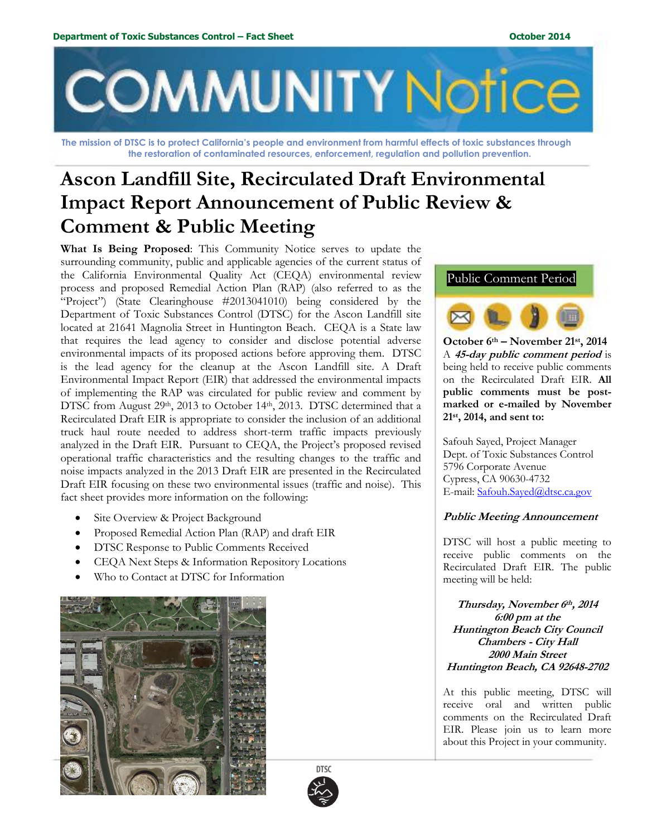

**The mission of DTSC is to protect California's people and environment from harmful effects of toxic substances through the restoration of contaminated resources, enforcement, regulation and pollution prevention.**

# **Ascon Landfill Site, Recirculated Draft Environmental Impact Report Announcement of Public Review & Comment & Public Meeting**

**What Is Being Proposed**: This Community Notice serves to update the surrounding community, public and applicable agencies of the current status of the California Environmental Quality Act (CEQA) environmental review process and proposed Remedial Action Plan (RAP) (also referred to as the "Project") (State Clearinghouse #2013041010) being considered by the Department of Toxic Substances Control (DTSC) for the Ascon Landfill site located at 21641 Magnolia Street in Huntington Beach. CEQA is a State law that requires the lead agency to consider and disclose potential adverse environmental impacts of its proposed actions before approving them. DTSC is the lead agency for the cleanup at the Ascon Landfill site. A Draft Environmental Impact Report (EIR) that addressed the environmental impacts of implementing the RAP was circulated for public review and comment by DTSC from August 29<sup>th</sup>, 2013 to October 14<sup>th</sup>, 2013. DTSC determined that a Recirculated Draft EIR is appropriate to consider the inclusion of an additional truck haul route needed to address short-term traffic impacts previously analyzed in the Draft EIR. Pursuant to CEQA, the Project's proposed revised operational traffic characteristics and the resulting changes to the traffic and noise impacts analyzed in the 2013 Draft EIR are presented in the Recirculated Draft EIR focusing on these two environmental issues (traffic and noise). This fact sheet provides more information on the following:

- Site Overview & Project Background
- Proposed Remedial Action Plan (RAP) and draft EIR
- DTSC Response to Public Comments Received
- CEQA Next Steps & Information Repository Locations
- Who to Contact at DTSC for Information





**October 6th – November 21st, 2014** A **45-day public comment period** is being held to receive public comments on the Recirculated Draft EIR. **All public comments must be postmarked or e-mailed by November 21st, 2014, and sent to:**

Safouh Sayed, Project Manager Dept. of Toxic Substances Control 5796 Corporate Avenue Cypress, CA 90630-4732 E-mail[: Safouh.Sayed@dtsc.ca.gov](mailto:Safouh.Sayed@dtsc.ca.gov)

# **Public Meeting Announcement**

DTSC will host a public meeting to receive public comments on the Recirculated Draft EIR. The public meeting will be held:

**Thursday, November 6 th, 2014 6:00 pm at the Huntington Beach City Council Chambers - City Hall 2000 Main Street Huntington Beach, CA 92648-2702**

At this public meeting, DTSC will receive oral and written public comments on the Recirculated Draft EIR. Please join us to learn more about this Project in your community.

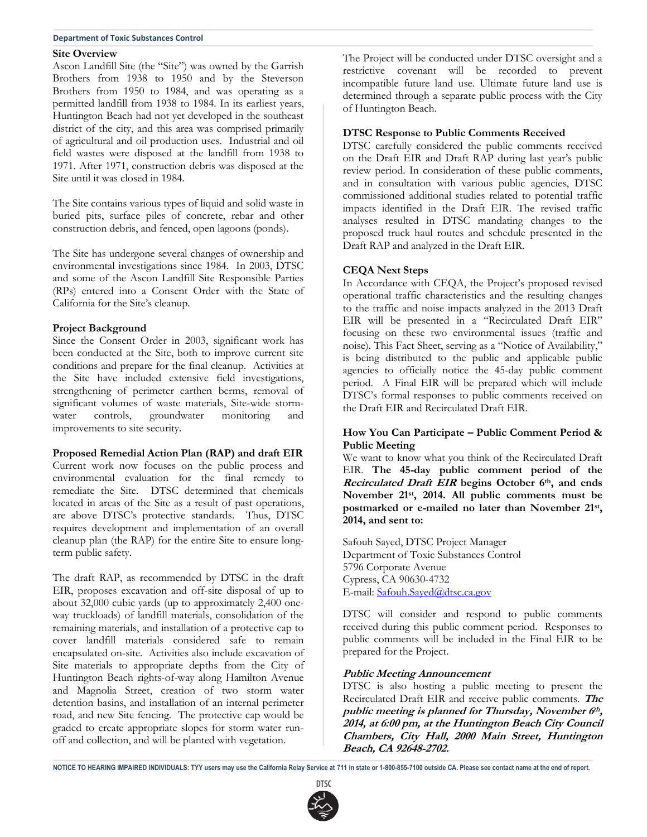#### **Department of Toxic Substances Control**

### **Site Overview**

Ascon Landfill Site (the "Site") was owned by the Garrish Brothers from 1938 to 1950 and by the Steverson Brothers from 1950 to 1984, and was operating as a permitted landfill from 1938 to 1984. In its earliest years, Huntington Beach had not yet developed in the southeast district of the city, and this area was comprised primarily of agricultural and oil production uses. Industrial and oil field wastes were disposed at the landfill from 1938 to 1971. After 1971, construction debris was disposed at the Site until it was closed in 1984.

The Site contains various types of liquid and solid waste in buried pits, surface piles of concrete, rebar and other construction debris, and fenced, open lagoons (ponds).

The Site has undergone several changes of ownership and environmental investigations since 1984. In 2003, DTSC and some of the Ascon Landfill Site Responsible Parties (RPs) entered into a Consent Order with the State of California for the Site's cleanup.

## **Project Background**

Since the Consent Order in 2003, significant work has been conducted at the Site, both to improve current site conditions and prepare for the final cleanup. Activities at the Site have included extensive field investigations, strengthening of perimeter earthen berms, removal of significant volumes of waste materials, Site-wide stormwater controls, groundwater monitoring and improvements to site security.

## **Proposed Remedial Action Plan (RAP) and draft EIR**

Current work now focuses on the public process and environmental evaluation for the final remedy to remediate the Site. DTSC determined that chemicals located in areas of the Site as a result of past operations, are above DTSC's protective standards. Thus, DTSC requires development and implementation of an overall cleanup plan (the RAP) for the entire Site to ensure longterm public safety.

The draft RAP, as recommended by DTSC in the draft EIR, proposes excavation and off-site disposal of up to about 32,000 cubic yards (up to approximately 2,400 oneway truckloads) of landfill materials, consolidation of the remaining materials, and installation of a protective cap to cover landfill materials considered safe to remain encapsulated on-site. Activities also include excavation of Site materials to appropriate depths from the City of Huntington Beach rights-of-way along Hamilton Avenue and Magnolia Street, creation of two storm water detention basins, and installation of an internal perimeter road, and new Site fencing. The protective cap would be graded to create appropriate slopes for storm water runoff and collection, and will be planted with vegetation.

The Project will be conducted under DTSC oversight and a restrictive covenant will be recorded to prevent incompatible future land use. Ultimate future land use is determined through a separate public process with the City of Huntington Beach.

# **DTSC Response to Public Comments Received**

DTSC carefully considered the public comments received on the Draft EIR and Draft RAP during last year's public review period. In consideration of these public comments, and in consultation with various public agencies, DTSC commissioned additional studies related to potential traffic impacts identified in the Draft EIR. The revised traffic analyses resulted in DTSC mandating changes to the proposed truck haul routes and schedule presented in the Draft RAP and analyzed in the Draft EIR.

## **CEQA Next Steps**

In Accordance with CEQA, the Project's proposed revised operational traffic characteristics and the resulting changes to the traffic and noise impacts analyzed in the 2013 Draft EIR will be presented in a "Recirculated Draft EIR" focusing on these two environmental issues (traffic and noise). This Fact Sheet, serving as a "Notice of Availability," is being distributed to the public and applicable public agencies to officially notice the 45-day public comment period. A Final EIR will be prepared which will include DTSC's formal responses to public comments received on the Draft EIR and Recirculated Draft EIR.

## **How You Can Participate – Public Comment Period & Public Meeting**

We want to know what you think of the Recirculated Draft EIR. **The 45-day public comment period of the Recirculated Draft EIR begins October 6 th, and ends November 21st, 2014. All public comments must be postmarked or e-mailed no later than November 21st , 2014, and sent to:**

Safouh Sayed, DTSC Project Manager Department of Toxic Substances Control 5796 Corporate Avenue Cypress, CA 90630-4732 E-mail[: Safouh.Sayed@dtsc.ca.gov](mailto:Safouh.Sayed@dtsc.ca.gov)

DTSC will consider and respond to public comments received during this public comment period. Responses to public comments will be included in the Final EIR to be prepared for the Project.

## **Public Meeting Announcement**

DTSC is also hosting a public meeting to present the Recirculated Draft EIR and receive public comments. **The public meeting is planned for Thursday, November 6 th, 2014, at 6:00 pm, at the Huntington Beach City Council Chambers, City Hall, 2000 Main Street, Huntington Beach, CA 92648-2702.**

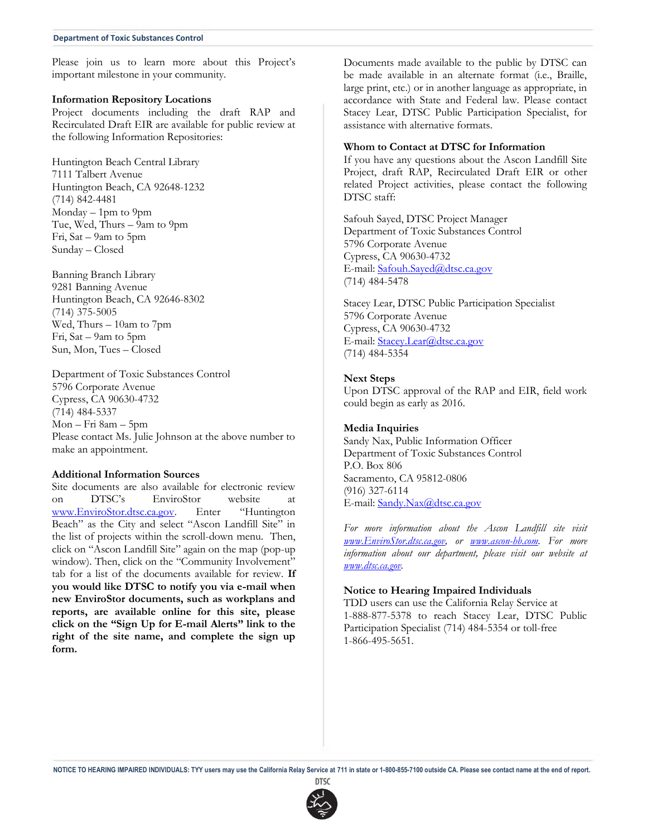#### **Department of Toxic Substances Control**

Please join us to learn more about this Project's important milestone in your community.

#### **Information Repository Locations**

Project documents including the draft RAP and Recirculated Draft EIR are available for public review at the following Information Repositories:

Huntington Beach Central Library 7111 Talbert Avenue Huntington Beach, CA 92648-1232 (714) 842-4481 Monday – 1pm to 9pm Tue, Wed, Thurs – 9am to 9pm Fri, Sat – 9am to 5pm Sunday – Closed

Banning Branch Library 9281 Banning Avenue Huntington Beach, CA 92646-8302 (714) 375-5005 Wed, Thurs – 10am to 7pm Fri, Sat – 9am to 5pm Sun, Mon, Tues – Closed

Department of Toxic Substances Control 5796 Corporate Avenue Cypress, CA 90630-4732 (714) 484-5337 Mon – Fri 8am – 5pm Please contact Ms. Julie Johnson at the above number to make an appointment.

#### **Additional Information Sources**

Site documents are also available for electronic review on DTSC's EnviroStor website at [www.EnviroStor.dtsc.ca.gov.](http://www.envirostor.dtsc.ca.gov/) Enter "Huntington Beach" as the City and select "Ascon Landfill Site" in the list of projects within the scroll-down menu. Then, click on "Ascon Landfill Site" again on the map (pop-up window). Then, click on the "Community Involvement" tab for a list of the documents available for review. **If you would like DTSC to notify you via e-mail when new EnviroStor documents, such as workplans and reports, are available online for this site, please click on the "Sign Up for E-mail Alerts" link to the right of the site name, and complete the sign up form.**

Documents made available to the public by DTSC can be made available in an alternate format (i.e., Braille, large print, etc.) or in another language as appropriate, in accordance with State and Federal law. Please contact Stacey Lear, DTSC Public Participation Specialist, for assistance with alternative formats.

#### **Whom to Contact at DTSC for Information**

If you have any questions about the Ascon Landfill Site Project, draft RAP, Recirculated Draft EIR or other related Project activities, please contact the following DTSC staff:

Safouh Sayed, DTSC Project Manager Department of Toxic Substances Control 5796 Corporate Avenue Cypress, CA 90630-4732 E-mail[: Safouh.Sayed@dtsc.ca.gov](mailto:Safouh.Sayed@dtsc.ca.gov) (714) 484-5478

Stacey Lear, DTSC Public Participation Specialist 5796 Corporate Avenue Cypress, CA 90630-4732 E-mail[: Stacey.Lear@dtsc.ca.gov](mailto:Stacey.Lear@dtsc.ca.gov) (714) 484-5354

#### **Next Steps**

Upon DTSC approval of the RAP and EIR, field work could begin as early as 2016.

#### **Media Inquiries**

Sandy Nax, Public Information Officer Department of Toxic Substances Control P.O. Box 806 Sacramento, CA 95812-0806 (916) 327-6114 E-mail[: Sandy.Nax@dtsc.ca.gov](mailto:Sandy.Nax@dtsc.ca.gov)

*For more information about the Ascon Landfill site visit [www.EnviroStor.dtsc.ca.gov,](http://www.envirostor.dtsc.ca.gov/) or [www.ascon-hb.com.](http://www.ascon-hb.com/) For more information about our department, please visit our website at [www.dtsc.ca.gov.](http://www.dtsc.ca.gov/)*

#### **Notice to Hearing Impaired Individuals**

TDD users can use the California Relay Service at 1-888-877-5378 to reach Stacey Lear, DTSC Public Participation Specialist (714) 484-5354 or toll-free 1-866-495-5651.